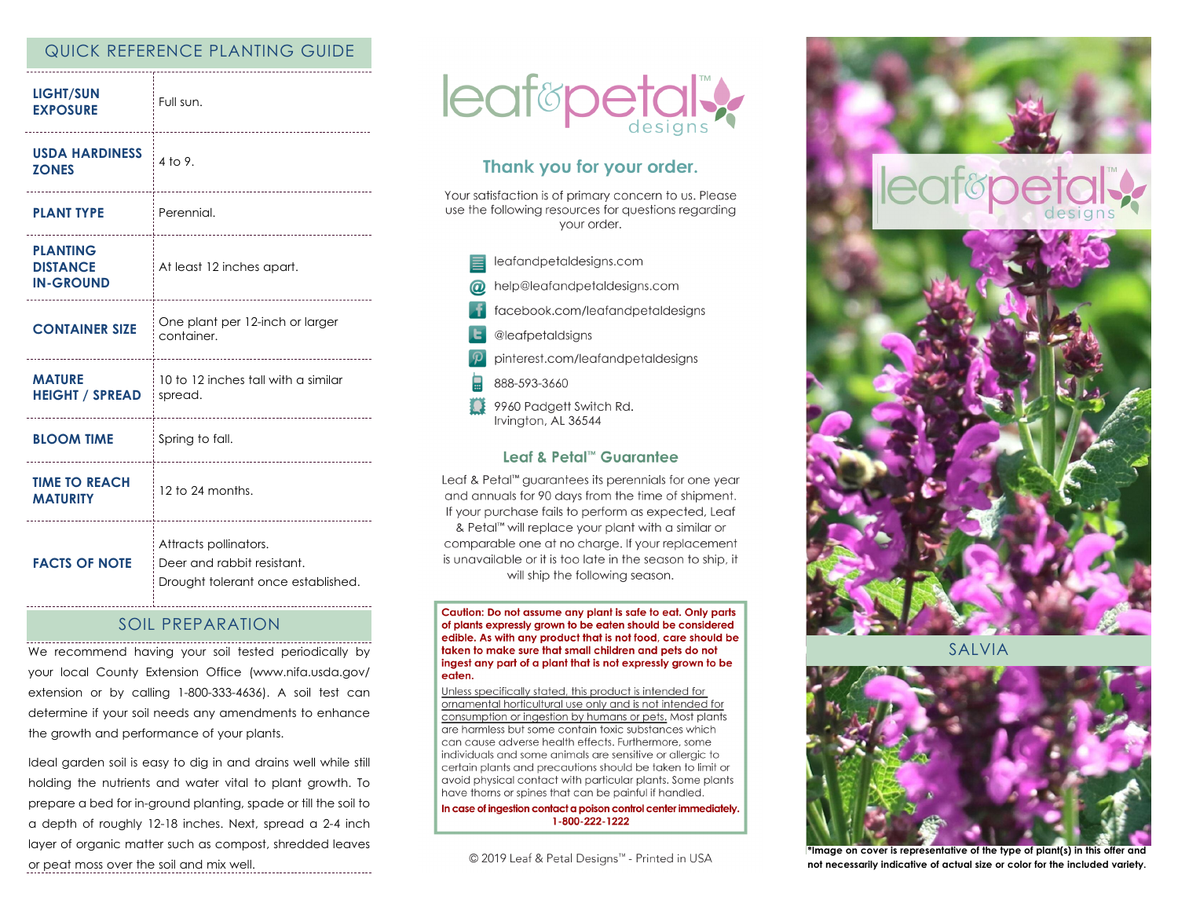# QUICK REFERENCE PLANTING GUIDE

| <b>LIGHT/SUN</b><br><b>EXPOSURE</b>                         | Full sun.<br>                                                                             |
|-------------------------------------------------------------|-------------------------------------------------------------------------------------------|
| <b>USDA HARDINESS</b><br><b>ZONES</b><br>------------------ | 4 to 9.<br>                                                                               |
| <b>PLANT TYPE</b>                                           | : Perennial.                                                                              |
| <b>PLANTING</b><br><b>DISTANCE</b><br><b>IN-GROUND</b>      | <br>At least 12 inches apart.                                                             |
| <b>CONTAINER SIZE</b>                                       | One plant per 12-inch or larger<br>container.                                             |
| <b>MATURE</b><br><b>HEIGHT / SPREAD</b>                     | 10 to 12 inches tall with a similar<br>spread.                                            |
| <b>BLOOM TIME</b>                                           | Spring to fall.                                                                           |
| <b>TIME TO REACH</b><br><b>MATURITY</b>                     | 12 to 24 months.<br>--------------------                                                  |
| <b>FACTS OF NOTE</b>                                        | Attracts pollinators.<br>Deer and rabbit resistant.<br>Drought tolerant once established. |

# SOIL PREPARATION

We recommend having your soil tested periodically by your local County Extension Office (www.nifa.usda.gov/ extension or by calling 1-800-333-4636). A soil test can determine if your soil needs any amendments to enhance the growth and performance of your plants.

Ideal garden soil is easy to dig in and drains well while still holding the nutrients and water vital to plant growth. To prepare a bed for in-ground planting, spade or till the soil to a depth of roughly 12-18 inches. Next, spread a 2-4 inch layer of organic matter such as compost, shredded leaves or peat moss over the soil and mix well.



# Thank you for your order.

Your satisfaction is of primary concern to us. Please use the following resources for questions regarding vour order.



## Leaf & Petal™ Guarantee

Leaf & Petal<sup>™</sup> guarantees its perennials for one year and annuals for 90 days from the time of shipment. If your purchase fails to perform as expected, Leaf & Petal<sup>™</sup> will replace your plant with a similar or comparable one at no charge. If your replacement is unavailable or it is too late in the season to ship, it will ship the following season.

Caution: Do not assume any plant is safe to eat. Only parts of plants expressly grown to be eaten should be considered edible. As with any product that is not food, care should be taken to make sure that small children and pets do not ingest any part of a plant that is not expressly grown to be eaten.

Unless specifically stated, this product is intended for ornamental horticultural use only and is not intended for consumption or ingestion by humans or pets. Most plants are harmless but some contain toxic substances which can cause adverse health effects. Furthermore, some individuals and some animals are sensitive or allergic to certain plants and precautions should be taken to limit or avoid physical contact with particular plants. Some plants have thorns or spines that can be painful if handled.

In case of ingestion contact a poison control center immediately. 1-800-222-1222

© 2019 Leaf & Petal Designs™ - Printed in USA





**SALVIA** 



**\*Image on cover is representative of the type of plant(s) in this offer and not necessarily indicative of actual size or color for the included variety.**